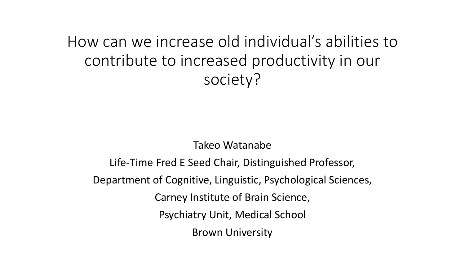How can we increase old individual's abilities to contribute to increased productivity in our society?

Takeo Watanabe

Life-Time Fred E Seed Chair, Distinguished Professor, Department of Cognitive, Linguistic, Psychological Sciences, Carney Institute of Brain Science, Psychiatry Unit, Medical School Brown University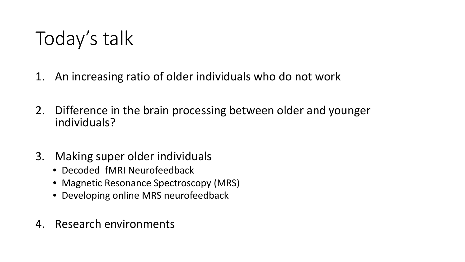Today's talk

- 1. An increasing ratio of older individuals who do not work
- 2. Difference in the brain processing between older and younger individuals?
- 3. Making super older individuals
	- Decoded fMRI Neurofeedback
	- Magnetic Resonance Spectroscopy (MRS)
	- Developing online MRS neurofeedback
- 4. Research environments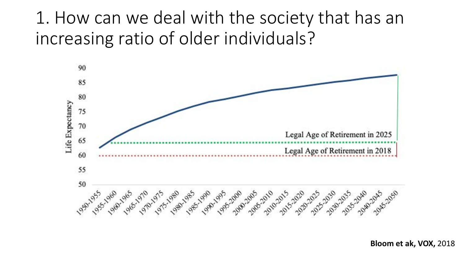### 1. How can we deal with the society that has an increasing ratio of older individuals?



**Bloom et ak, VOX,** 2018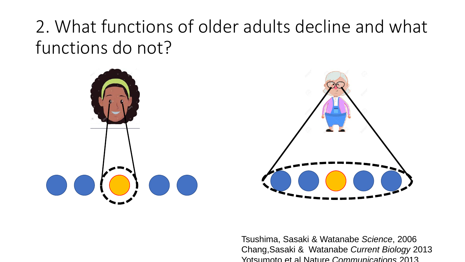### 2. What functions of older adults decline and what functions do not?



Tsushima, Sasaki & Watanabe *Science*, 2006 Chang,Sasaki & Watanabe *Current Biology* 2013 Yotsumoto et al Nature *Communications* 2013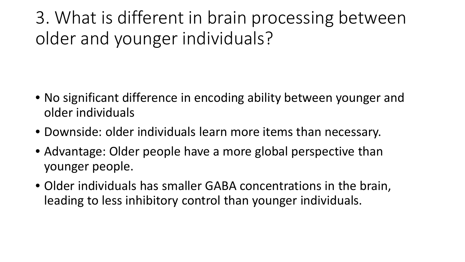3. What is different in brain processing between older and younger individuals?

- No significant difference in encoding ability between younger and older individuals
- Downside: older individuals learn more items than necessary.
- Advantage: Older people have a more global perspective than younger people.
- Older individuals has smaller GABA concentrations in the brain, leading to less inhibitory control than younger individuals.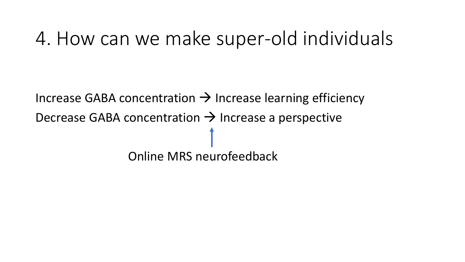## 4. How can we make super-old individuals

Increase GABA concentration  $\rightarrow$  Increase learning efficiency Decrease GABA concentration  $\rightarrow$  Increase a perspective Online MRS neurofeedback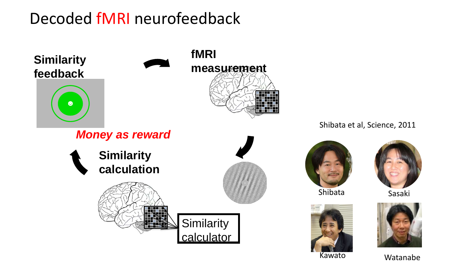### Decoded fMRI neurofeedback







Kawato Watanabe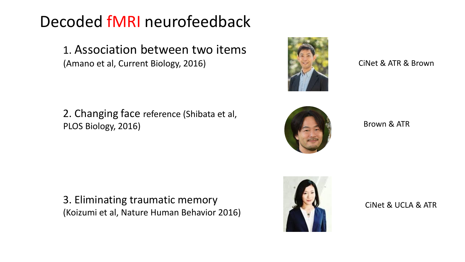### Decoded fMRI neurofeedback

1. Association between two items (Amano et al, Current Biology, 2016)

2. Changing face reference (Shibata et al, PLOS Biology, 2016)

3. Eliminating traumatic memory (Koizumi et al, Nature Human Behavior 2016)





CiNet & UCLA & ATR



CiNet & ATR & Brown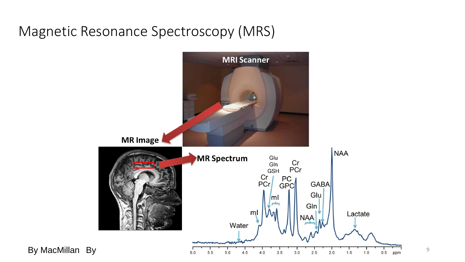#### Magnetic Resonance Spectroscopy (MRS)

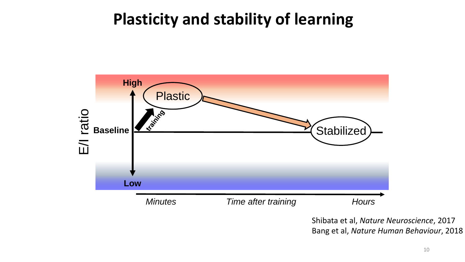### **Plasticity and stability of learning**



Shibata et al, *Nature Neuroscience*, 2017 Bang et al, *Nature Human Behaviour*, 2018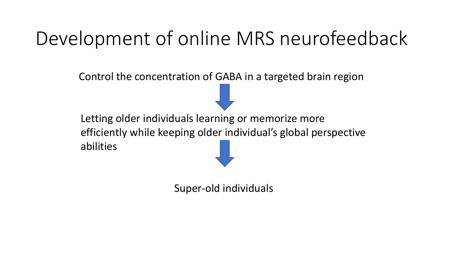# Development of online MRS neurofeedback

Control the concentration of GABA in a targeted brain region

Letting older individuals learning or memorize more efficiently while keeping older individual's global perspective abilities

Super-old individuals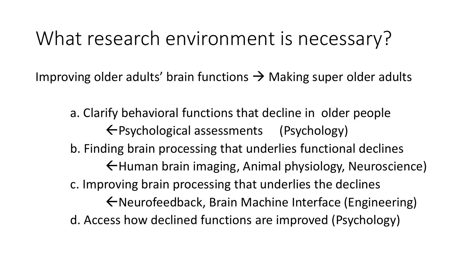## What research environment is necessary?

Improving older adults' brain functions  $\rightarrow$  Making super older adults

a. Clarify behavioral functions that decline in older people Psychological assessments (Psychology) b. Finding brain processing that underlies functional declines ←Human brain imaging, Animal physiology, Neuroscience) c. Improving brain processing that underlies the declines Neurofeedback, Brain Machine Interface (Engineering) d. Access how declined functions are improved (Psychology)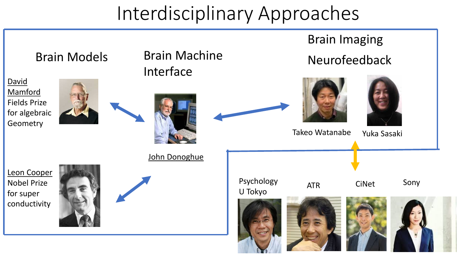## Interdisciplinary Approaches